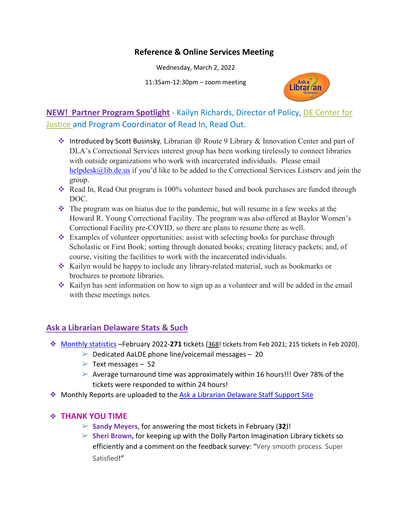### **Reference & Online Services Meeting**

Wednesday, March 2, 2022

11:35am-12:30pm – zoom meeting



### **NEW! Partner Program Spotlight** - Kailyn Richards, Director of Policy, [DE Center for](https://dcjustice.org/)  [Justice](https://dcjustice.org/) and Program Coordinator of Read In, Read Out.

- ◆ Introduced by Scott Businsky, Librarian @ Route 9 Library & Innovation Center and part of DLA's Correctional Services interest group has been working tirelessly to connect libraries with outside organizations who work with incarcerated individuals. Please email [helpdesk@lib.de.us](mailto:helpdesk@lib.de.us) if you'd like to be added to the Correctional Services Listserv and join the group.
- \* Read In, Read Out program is 100% volunteer based and book purchases are funded through DOC.
- The program was on hiatus due to the pandemic, but will resume in a few weeks at the Howard R. Young Correctional Facility. The program was also offered at Baylor Women's Correctional Facility pre-COVID, so there are plans to resume there as well.
- $\triangleleft$  Examples of volunteer opportunities: assist with selecting books for purchase through Scholastic or First Book; sorting through donated books; creating literacy packets; and, of course, visiting the facilities to work with the incarcerated individuals.
- Kailyn would be happy to include any library-related material, such as bookmarks or brochures to promote libraries.
- $\cdot$  Kailyn has sent information on how to sign up as a volunteer and will be added in the email with these meetings notes.

### **Ask a Librarian Delaware Stats & Such**

- ❖ [Monthly statistics](https://aalstaff.lib.de.us/home/reports/fy22-monthly-reports/) –February 2022-**271** tickets (368! tickets from Feb 2021; 215 tickets in Feb 2020).
	- $\triangleright$  Dedicated AaLDE phone line/voicemail messages 20
	- $\triangleright$  Text messages 52
	- ➢ Average turnaround time was approximately within 16 hours!!! Over 78% of the tickets were responded to within 24 hours!
- ❖ Monthly Reports are uploaded to the [Ask a Librarian Delaware Staff Support Site](https://aalstaff.lib.de.us/home/reports/fy21-monthly-reports/)

#### ❖ **THANK YOU TIME**

- ➢ **Sandy Meyers**, for answering the most tickets in February (**32**)!
- ➢ **Sheri Brown,** for keeping up with the Dolly Parton Imagination Library tickets so efficiently and a comment on the feedback survey: "Very smooth process. Super Satisfied!"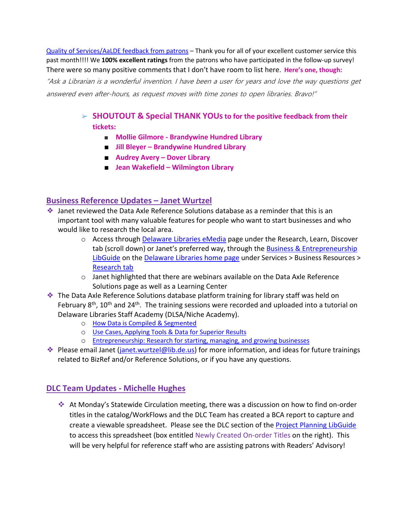[Quality of Services/](https://ask.springshare.com/libanswers/faq/2830)AaLDE feedback from patrons – Thank you for all of your excellent customer service this past month!!!! We **100% excellent ratings** from the patrons who have participated in the follow-up survey! There were so many positive comments that I don't have room to list here. **Here's one, though:**

"Ask a Librarian is a wonderful invention. I have been a user for years and love the way questions get answered even after-hours, as request moves with time zones to open libraries. Bravo!"

- ➢ **SHOUTOUT & Special THANK YOUsto for the positive feedback from their tickets:**
	- **Mollie Gilmore - Brandywine Hundred Library**
	- **Jill Bleyer – Brandywine Hundred Library**
	- **Audrey Avery – Dover Library**
	- **Jean Wakefield – Wilmington Library**

#### **Business Reference Updates – Janet Wurtzel**

- ❖ Janet reviewed the Data Axle Reference Solutions database as a reminder that this is an important tool with many valuable features for people who want to start businesses and who would like to research the local area.
	- $\circ$  Access through [Delaware Libraries eMedia](https://lib.de.us/emedia/) page under the Research, Learn, Discover tab (scroll down) or Janet's preferred way, through the [Business & Entrepreneurship](https://guides.lib.de.us/business)  [LibGuide](https://guides.lib.de.us/business) on the [Delaware Libraries home page](https://lib.de.us/) under Services > Business Resources > [Research tab](https://guides.lib.de.us/business/research)
	- $\circ$  Janet highlighted that there are webinars available on the Data Axle Reference Solutions page as well as a Learning Center
- ❖ The Data Axle Reference Solutions database platform training for library staff was held on February  $8<sup>th</sup>$ , 10<sup>th</sup> and 24<sup>th</sup>. The training sessions were recorded and uploaded into a tutorial on Delaware Libraries Staff Academy (DLSA/Niche Academy).
	- o [How Data is Compiled & Segmented](https://my.nicheacademy.com/delawarelibrariesstaffacademy/course/43913)
	- o [Use Cases, Applying Tools & Data for Superior Results](https://my.nicheacademy.com/delawarelibrariesstaffacademy/course/44046)
	- o [Entrepreneurship: Research for starting, managing, and growing businesses](https://my.nicheacademy.com/delawarelibrariesstaffacademy/course/44778)
- ◆ Please email Janet (*janet.wurtzel@lib.de.us*) for more information, and ideas for future trainings related to BizRef and/or Reference Solutions, or if you have any questions.

### **DLC Team Updates - Michelle Hughes**

 At Monday's Statewide Circulation meeting, there was a discussion on how to find on-order titles in the catalog/WorkFlows and the DLC Team has created a BCA report to capture and create a viewable spreadsheet. Please see the DLC section of the **Project Planning LibGuide** to access this spreadsheet (box entitled Newly Created On-order Titles on the right). This will be very helpful for reference staff who are assisting patrons with Readers' Advisory!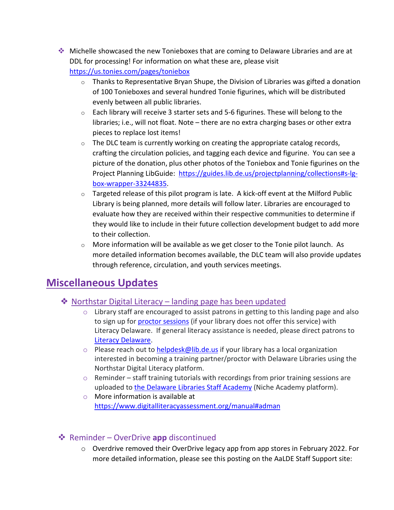- Michelle showcased the new Tonieboxes that are coming to Delaware Libraries and are at DDL for processing! For information on what these are, please visit [https://us.tonies.com/pages/toniebox](https://gcc02.safelinks.protection.outlook.com/?url=https%3A%2F%2Fus.tonies.com%2Fpages%2Ftoniebox&data=04%7C01%7Cannie.norman%40delaware.gov%7C66032613a7fa486a0d6608d9f5449079%7C8c09e56951c54deeabb28b99c32a4396%7C0%7C0%7C637810497678673405%7CUnknown%7CTWFpbGZsb3d8eyJWIjoiMC4wLjAwMDAiLCJQIjoiV2luMzIiLCJBTiI6Ik1haWwiLCJXVCI6Mn0%3D%7C1000&sdata=AsQ4phJDyD9pF5y8xt8kd6%2B8c%2BH%2B4I9exxFJUScjrB0%3D&reserved=0)
	- $\circ$  Thanks to Representative Bryan Shupe, the Division of Libraries was gifted a donation of 100 Tonieboxes and several hundred Tonie figurines, which will be distributed evenly between all public libraries.
	- $\circ$  Each library will receive 3 starter sets and 5-6 figurines. These will belong to the libraries; i.e., will not float. Note – there are no extra charging bases or other extra pieces to replace lost items!
	- $\circ$  The DLC team is currently working on creating the appropriate catalog records, crafting the circulation policies, and tagging each device and figurine. You can see a picture of the donation, plus other photos of the Toniebox and Tonie figurines on the Project Planning LibGuide: [https://guides.lib.de.us/projectplanning/collections#s-lg](https://guides.lib.de.us/projectplanning/collections#s-lg-box-wrapper-33244835)[box-wrapper-33244835.](https://guides.lib.de.us/projectplanning/collections#s-lg-box-wrapper-33244835)
	- $\circ$  Targeted release of this pilot program is late. A kick-off event at the Milford Public Library is being planned, more details will follow later. Libraries are encouraged to evaluate how they are received within their respective communities to determine if they would like to include in their future collection development budget to add more to their collection.
	- $\circ$  More information will be available as we get closer to the Tonie pilot launch. As more detailed information becomes available, the DLC team will also provide updates through reference, circulation, and youth services meetings.

## **Miscellaneous Updates**

- ❖ [Northstar Digital Literacy –](https://lib.de.us/northstar/) landing page has been updated
	- o Library staff are encouraged to assist patrons in getting to this landing page and also to sign up for [proctor sessions](https://delawarelibraries.libwizard.com/f/LitDEAppt) (if your library does not offer this service) with Literacy Delaware. If general literacy assistance is needed, please direct patrons to [Literacy Delaware.](https://literacydelaware.org/learners)
	- $\circ$  Please reach out to **helpdesk@lib.de.us** if your library has a local organization interested in becoming a training partner/proctor with Delaware Libraries using the Northstar Digital Literacy platform.
	- $\circ$  Reminder staff training tutorials with recordings from prior training sessions are uploaded to [the Delaware Libraries Staff Academy](https://my.nicheacademy.com/delawarelibrariesstaffacademy?category=11828) (Niche Academy platform).
	- o More information is available at <https://www.digitalliteracyassessment.org/manual#adman>

### **❖** Reminder – OverDrive app discontinued

o Overdrive removed their OverDrive legacy app from app stores in February 2022. For more detailed information, please see this posting on the AaLDE Staff Support site: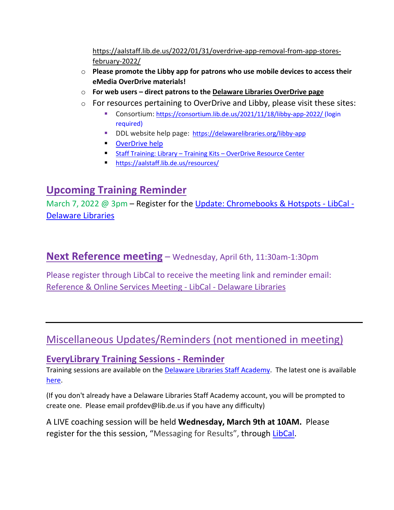[https://aalstaff.lib.de.us/2022/01/31/overdrive-app-removal-from-app-stores](https://aalstaff.lib.de.us/2022/01/31/overdrive-app-removal-from-app-stores-february-2022/)[february-2022/](https://aalstaff.lib.de.us/2022/01/31/overdrive-app-removal-from-app-stores-february-2022/)

- o **Please promote the Libby app for patrons who use mobile devices to access their eMedia OverDrive materials!**
- o **For web users – direct patrons to the [Delaware Libraries OverDrive page](https://delaware.overdrive.com/)**
- o For resources pertaining to OverDrive and Libby, please visit these sites:
	- Consortium: <https://consortium.lib.de.us/2021/11/18/libby-app-2022/> (login required)
	- DDL website help page: <https://delawarelibraries.org/libby-app>
	- [OverDrive help](https://help.overdrive.com/en-us/home.htm)
	- Staff Training: Library Training Kits [OverDrive Resource Center](https://resources.overdrive.com/library/training-kits/)
	- <https://aalstaff.lib.de.us/resources/>

# **Upcoming Training Reminder**

March 7, 2022 @ 3pm – Register for the [Update: Chromebooks & Hotspots -](https://delawarelibraries.libcal.com/event/8904090?f=h) LibCal -[Delaware Libraries](https://delawarelibraries.libcal.com/event/8904090?f=h)

**Next Reference meeting** – Wednesday, April 6th, 11:30am-1:30pm

Please register through LibCal to receive the meeting link and reminder email: [Reference & Online Services Meeting -](https://delawarelibraries.libcal.com/event/8770604) LibCal - Delaware Libraries

# Miscellaneous Updates/Reminders (not mentioned in meeting)

### **EveryLibrary Training Sessions - Reminder**

Training sessions are available on the **Delaware Libraries Staff Academy**. The latest one is available [here.](https://my.nicheacademy.com/delawarelibrariesstaffacademy/course/44927)

(If you don't already have a Delaware Libraries Staff Academy account, you will be prompted to create one. Please email profdev@lib.de.us if you have any difficulty)

A LIVE coaching session will be held **Wednesday, March 9th at 10AM.** Please register for the this session, "Messaging for Results", through [LibCal.](https://delawarelibraries.libcal.com/event/8380697)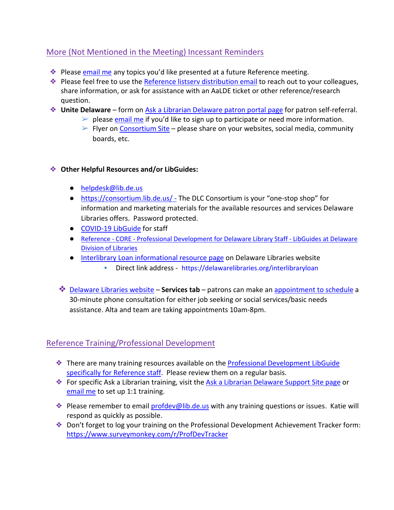### More (Not Mentioned in the Meeting) Incessant Reminders

- ❖ Please [email me](mailto:missy.williams@lib.de.us) any topics you'd like presented at a future Reference meeting.
- ❖ Please feel free to use the [Reference listserv distribution email](mailto:reference@listserv.lib.de.us) to reach out to your colleagues, share information, or ask for assistance with an AaLDE ticket or other reference/research question.
- ❖ **Unite Delaware** form on [Ask a Librarian Delaware patron portal page](https://answers.delawarelibraries.org/) for patron self-referral.
	- $\triangleright$  please [email me](mailto:missy.williams@lib.de.us) if you'd like to sign up to participate or need more information.
	- $\triangleright$  Flyer on [Consortium Site](https://consortium.lib.de.us/marketing/) please share on your websites, social media, community boards, etc.

#### ❖ **Other Helpful Resources and/or LibGuides:**

- [helpdesk@lib.de.us](mailto:helpdesk@lib.de.us)
- <https://consortium.lib.de.us/> The DLC Consortium is your "one-stop shop" for information and marketing materials for the available resources and services Delaware Libraries offers. Password protected.
- [COVID-19 LibGuide](https://guides.lib.de.us/delibraries/COVID-19) for staff
- Reference CORE [Professional Development for Delaware Library Staff -](https://guides.lib.de.us/profdev/refcore) LibGuides at Delaware [Division of Libraries](https://guides.lib.de.us/profdev/refcore)
- [Interlibrary Loan informational resource page](https://lib.de.us/interlibraryloan/) on Delaware Libraries website
	- Direct link address <https://delawarelibraries.org/interlibraryloan>
- ❖ [Delaware Libraries website](https://lib.de.us/) **Services tab** patrons can make an [appointment to schedule](https://delawarelibraries.libcal.com/appointments/) a 30-minute phone consultation for either job seeking or social services/basic needs assistance. Alta and team are taking appointments 10am-8pm.

### Reference Training/Professional Development

- ❖ There are many training resources available on the [Professional Development LibGuide](https://guides.lib.de.us/c.php?g=386101&p=2619930)  [specifically for Reference staff.](https://guides.lib.de.us/c.php?g=386101&p=2619930) Please review them on a regular basis.
- ❖ For specific Ask a Librarian training, visit the [Ask a Librarian Delaware Support Site page](https://aalstaff.lib.de.us/all-meetings-trainings/training-tutorials/) or [email me](mailto:missy.williams@lib.de.us) to set up 1:1 training.
- **Example 2 Please remember to email [profdev@lib.de.us](mailto:profdev@lib.de.us) with any training questions or issues. Katie will** respond as quickly as possible.
- ❖ Don't forget to log your training on the Professional Development Achievement Tracker form: <https://www.surveymonkey.com/r/ProfDevTracker>